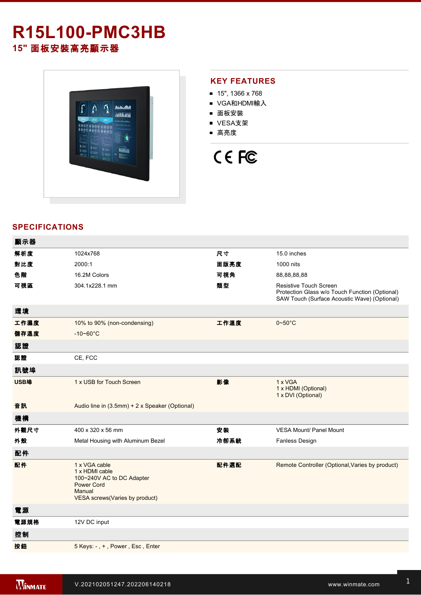# **R15L100-PMC3HB**

**15"** 面板安裝高亮顯示器



### **KEY FEATURES**

- $15"$ , 1366 x 768
- VGA和HDMI輸入
- 面板安裝
- VESA支架
- 高亮度

## CE FC

## **SPECIFICATIONS**

| 顯示器  |                                                                                                                               |      |                                                                                                                          |
|------|-------------------------------------------------------------------------------------------------------------------------------|------|--------------------------------------------------------------------------------------------------------------------------|
| 解析度  | 1024x768                                                                                                                      | 尺寸   | 15.0 inches                                                                                                              |
| 對比度  | 2000:1                                                                                                                        | 面版亮度 | 1000 nits                                                                                                                |
| 色階   | 16.2M Colors                                                                                                                  | 可視角  | 88,88,88,88                                                                                                              |
| 可視區  | 304.1x228.1 mm                                                                                                                | 類型   | Resistive Touch Screen<br>Protection Glass w/o Touch Function (Optional)<br>SAW Touch (Surface Acoustic Wave) (Optional) |
| 環境   |                                                                                                                               |      |                                                                                                                          |
| 工作濕度 | 10% to 90% (non-condensing)                                                                                                   | 工作溫度 | $0 \sim 50^{\circ}$ C                                                                                                    |
| 儲存溫度 | $-10 - 60^{\circ}C$                                                                                                           |      |                                                                                                                          |
| 認證   |                                                                                                                               |      |                                                                                                                          |
| 認證   | CE, FCC                                                                                                                       |      |                                                                                                                          |
| 訊號埠  |                                                                                                                               |      |                                                                                                                          |
| USB埠 | 1 x USB for Touch Screen                                                                                                      | 影像   | 1 x VGA<br>1 x HDMI (Optional)<br>1 x DVI (Optional)                                                                     |
| 音訊   | Audio line in (3.5mm) + 2 x Speaker (Optional)                                                                                |      |                                                                                                                          |
| 機構   |                                                                                                                               |      |                                                                                                                          |
| 外觀尺寸 | 400 x 320 x 56 mm                                                                                                             | 安装   | VESA Mount/ Panel Mount                                                                                                  |
| 外殼   | Metal Housing with Aluminum Bezel                                                                                             | 冷卻系統 | Fanless Design                                                                                                           |
| 配件   |                                                                                                                               |      |                                                                                                                          |
| 配件   | 1 x VGA cable<br>1 x HDMI cable<br>100~240V AC to DC Adapter<br><b>Power Cord</b><br>Manual<br>VESA screws(Varies by product) | 配件選配 | Remote Controller (Optional, Varies by product)                                                                          |
| 電源   |                                                                                                                               |      |                                                                                                                          |
| 電源規格 | 12V DC input                                                                                                                  |      |                                                                                                                          |
| 控制   |                                                                                                                               |      |                                                                                                                          |
| 按鈕   | 5 Keys: -, +, Power, Esc, Enter                                                                                               |      |                                                                                                                          |
|      |                                                                                                                               |      |                                                                                                                          |

**DIMENSIONS**  UNIT:MM